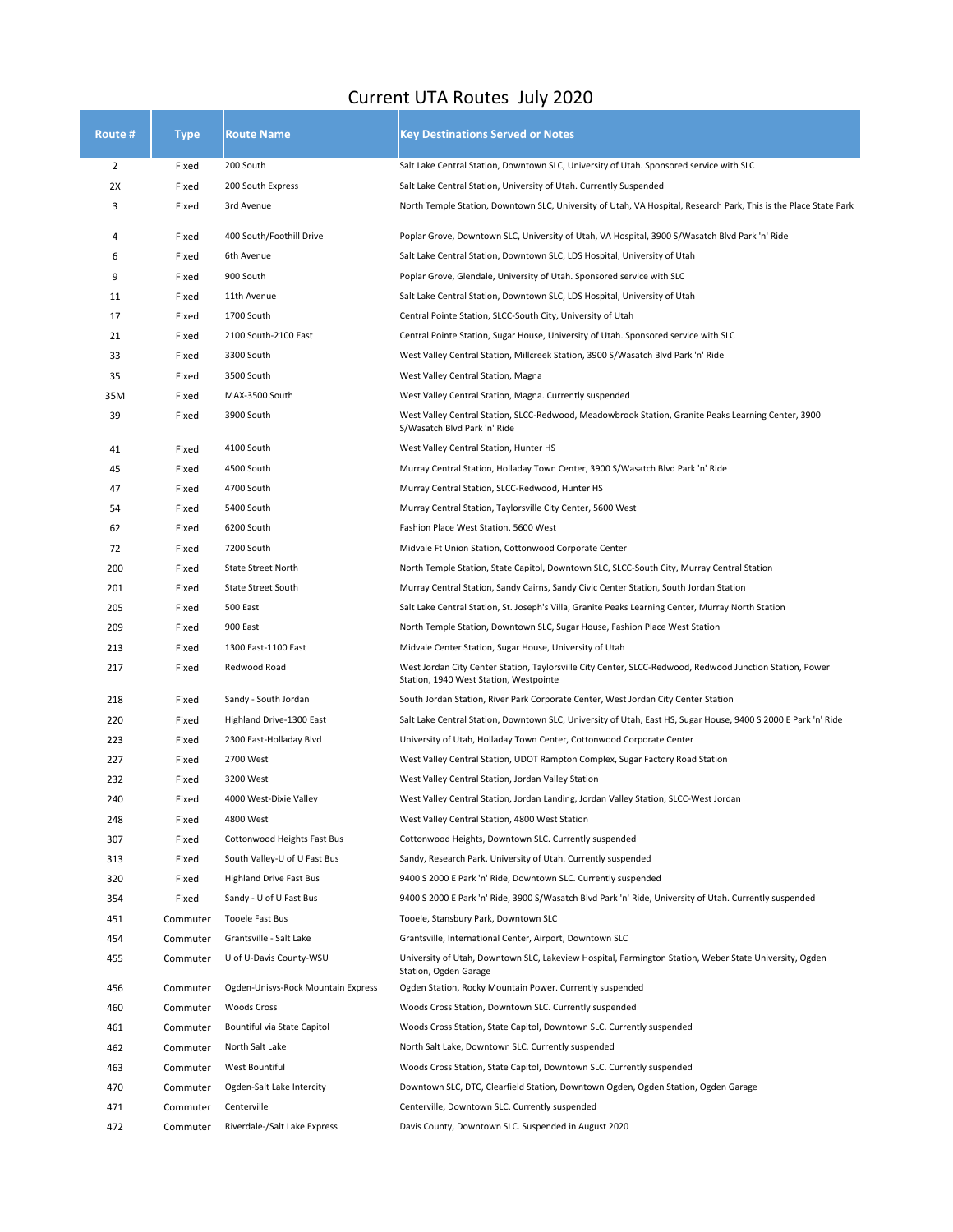## Current UTA Routes July 2020

| Route #        | Type     | <b>Route Name</b>                  | <b>Key Destinations Served or Notes</b>                                                                                                            |
|----------------|----------|------------------------------------|----------------------------------------------------------------------------------------------------------------------------------------------------|
| $\overline{2}$ | Fixed    | 200 South                          | Salt Lake Central Station, Downtown SLC, University of Utah. Sponsored service with SLC                                                            |
| 2X             | Fixed    | 200 South Express                  | Salt Lake Central Station, University of Utah. Currently Suspended                                                                                 |
| 3              | Fixed    | 3rd Avenue                         | North Temple Station, Downtown SLC, University of Utah, VA Hospital, Research Park, This is the Place State Park                                   |
| 4              | Fixed    | 400 South/Foothill Drive           | Poplar Grove, Downtown SLC, University of Utah, VA Hospital, 3900 S/Wasatch Blvd Park 'n' Ride                                                     |
| 6              | Fixed    | 6th Avenue                         | Salt Lake Central Station, Downtown SLC, LDS Hospital, University of Utah                                                                          |
| 9              | Fixed    | 900 South                          | Poplar Grove, Glendale, University of Utah. Sponsored service with SLC                                                                             |
| 11             | Fixed    | 11th Avenue                        | Salt Lake Central Station, Downtown SLC, LDS Hospital, University of Utah                                                                          |
| 17             | Fixed    | 1700 South                         | Central Pointe Station, SLCC-South City, University of Utah                                                                                        |
| 21             | Fixed    | 2100 South-2100 East               | Central Pointe Station, Sugar House, University of Utah. Sponsored service with SLC                                                                |
| 33             | Fixed    | 3300 South                         | West Valley Central Station, Millcreek Station, 3900 S/Wasatch Blvd Park 'n' Ride                                                                  |
| 35             | Fixed    | 3500 South                         | West Valley Central Station, Magna                                                                                                                 |
| 35M            | Fixed    | MAX-3500 South                     | West Valley Central Station, Magna. Currently suspended                                                                                            |
| 39             | Fixed    | 3900 South                         | West Valley Central Station, SLCC-Redwood, Meadowbrook Station, Granite Peaks Learning Center, 3900<br>S/Wasatch Blvd Park 'n' Ride                |
| 41             | Fixed    | 4100 South                         | West Valley Central Station, Hunter HS                                                                                                             |
| 45             | Fixed    | 4500 South                         | Murray Central Station, Holladay Town Center, 3900 S/Wasatch Blvd Park 'n' Ride                                                                    |
| 47             | Fixed    | 4700 South                         | Murray Central Station, SLCC-Redwood, Hunter HS                                                                                                    |
| 54             | Fixed    | 5400 South                         | Murray Central Station, Taylorsville City Center, 5600 West                                                                                        |
| 62             | Fixed    | 6200 South                         | Fashion Place West Station, 5600 West                                                                                                              |
| 72             | Fixed    | 7200 South                         | Midvale Ft Union Station, Cottonwood Corporate Center                                                                                              |
| 200            | Fixed    | State Street North                 | North Temple Station, State Capitol, Downtown SLC, SLCC-South City, Murray Central Station                                                         |
| 201            | Fixed    | State Street South                 | Murray Central Station, Sandy Cairns, Sandy Civic Center Station, South Jordan Station                                                             |
| 205            | Fixed    | 500 East                           | Salt Lake Central Station, St. Joseph's Villa, Granite Peaks Learning Center, Murray North Station                                                 |
| 209            | Fixed    | 900 East                           | North Temple Station, Downtown SLC, Sugar House, Fashion Place West Station                                                                        |
| 213            | Fixed    | 1300 East-1100 East                | Midvale Center Station, Sugar House, University of Utah                                                                                            |
| 217            | Fixed    | Redwood Road                       | West Jordan City Center Station, Taylorsville City Center, SLCC-Redwood, Redwood Junction Station, Power<br>Station, 1940 West Station, Westpointe |
| 218            | Fixed    | Sandy - South Jordan               | South Jordan Station, River Park Corporate Center, West Jordan City Center Station                                                                 |
| 220            | Fixed    | Highland Drive-1300 East           | Salt Lake Central Station, Downtown SLC, University of Utah, East HS, Sugar House, 9400 S 2000 E Park 'n' Ride                                     |
| 223            | Fixed    | 2300 East-Holladay Blvd            | University of Utah, Holladay Town Center, Cottonwood Corporate Center                                                                              |
| 227            | Fixed    | 2700 West                          | West Valley Central Station, UDOT Rampton Complex, Sugar Factory Road Station                                                                      |
| 232            | Fixed    | 3200 West                          | West Valley Central Station, Jordan Valley Station                                                                                                 |
| 240            | Fixed    | 4000 West-Dixie Valley             | West Valley Central Station, Jordan Landing, Jordan Valley Station, SLCC-West Jordan                                                               |
| 248            | Fixed    | 4800 West                          | West Valley Central Station, 4800 West Station                                                                                                     |
| 307            | Fixed    | Cottonwood Heights Fast Bus        | Cottonwood Heights, Downtown SLC. Currently suspended                                                                                              |
| 313            | Fixed    | South Valley-U of U Fast Bus       | Sandy, Research Park, University of Utah. Currently suspended                                                                                      |
| 320            | Fixed    | <b>Highland Drive Fast Bus</b>     | 9400 S 2000 E Park 'n' Ride, Downtown SLC. Currently suspended                                                                                     |
| 354            | Fixed    | Sandy - U of U Fast Bus            | 9400 S 2000 E Park 'n' Ride, 3900 S/Wasatch Blvd Park 'n' Ride, University of Utah. Currently suspended                                            |
| 451            | Commuter | Tooele Fast Bus                    | Tooele, Stansbury Park, Downtown SLC                                                                                                               |
| 454            | Commuter | Grantsville - Salt Lake            | Grantsville, International Center, Airport, Downtown SLC                                                                                           |
| 455            | Commuter | U of U-Davis County-WSU            | University of Utah, Downtown SLC, Lakeview Hospital, Farmington Station, Weber State University, Ogden<br>Station, Ogden Garage                    |
| 456            | Commuter | Ogden-Unisys-Rock Mountain Express | Ogden Station, Rocky Mountain Power. Currently suspended                                                                                           |
| 460            | Commuter | Woods Cross                        | Woods Cross Station, Downtown SLC. Currently suspended                                                                                             |
| 461            | Commuter | Bountiful via State Capitol        | Woods Cross Station, State Capitol, Downtown SLC. Currently suspended                                                                              |
| 462            | Commuter | North Salt Lake                    | North Salt Lake, Downtown SLC. Currently suspended                                                                                                 |
| 463            | Commuter | West Bountiful                     | Woods Cross Station, State Capitol, Downtown SLC. Currently suspended                                                                              |
| 470            | Commuter | Ogden-Salt Lake Intercity          | Downtown SLC, DTC, Clearfield Station, Downtown Ogden, Ogden Station, Ogden Garage                                                                 |
| 471            | Commuter | Centerville                        | Centerville, Downtown SLC. Currently suspended                                                                                                     |
| 472            | Commuter | Riverdale-/Salt Lake Express       | Davis County, Downtown SLC. Suspended in August 2020                                                                                               |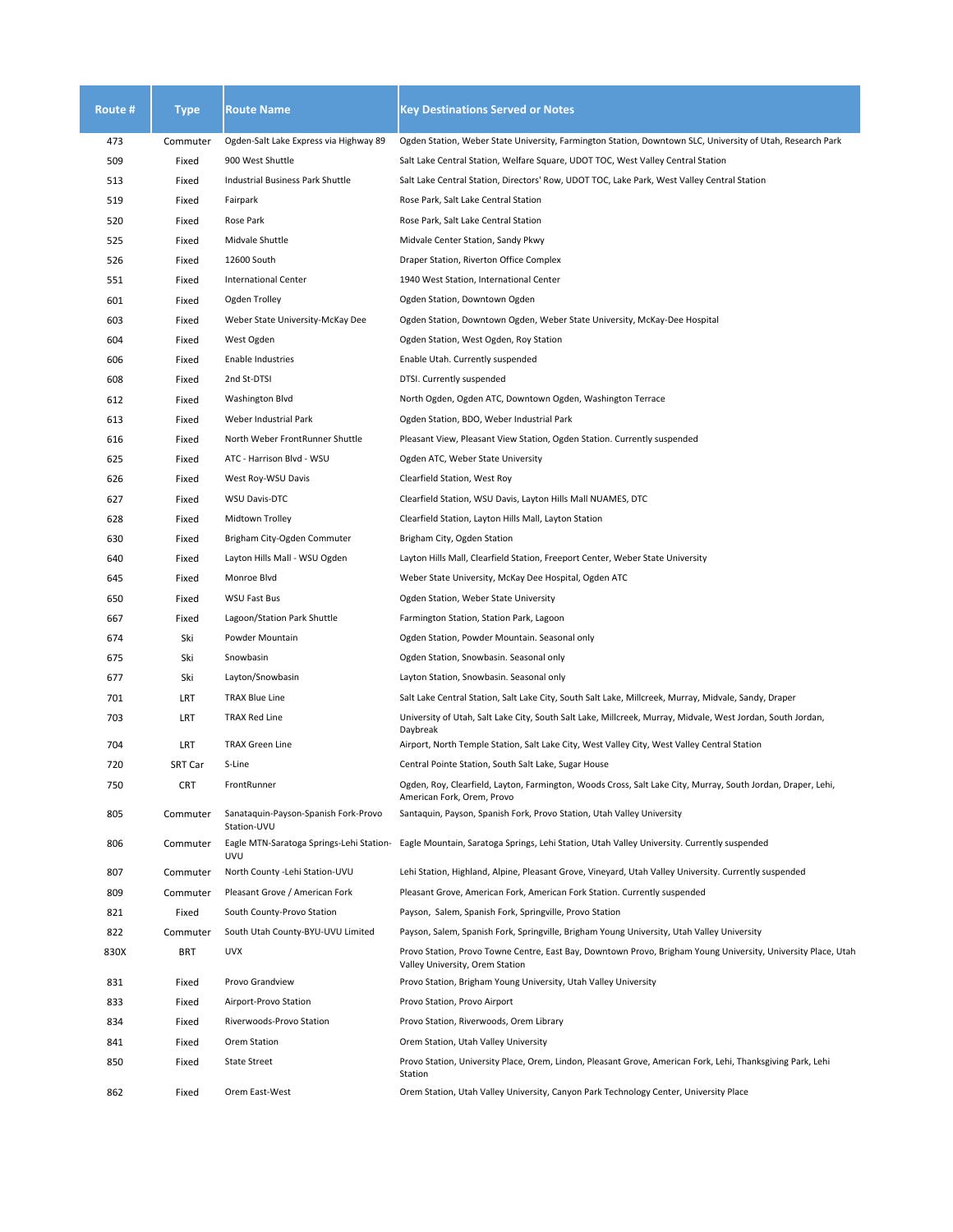| Route #    | <b>Type</b>     | <b>Route Name</b>                                       | <b>Key Destinations Served or Notes</b>                                                                                                                                                                              |
|------------|-----------------|---------------------------------------------------------|----------------------------------------------------------------------------------------------------------------------------------------------------------------------------------------------------------------------|
| 473        | Commuter        | Ogden-Salt Lake Express via Highway 89                  | Ogden Station, Weber State University, Farmington Station, Downtown SLC, University of Utah, Research Park                                                                                                           |
| 509        | Fixed           | 900 West Shuttle                                        | Salt Lake Central Station, Welfare Square, UDOT TOC, West Valley Central Station                                                                                                                                     |
| 513        | Fixed           | Industrial Business Park Shuttle                        | Salt Lake Central Station, Directors' Row, UDOT TOC, Lake Park, West Valley Central Station                                                                                                                          |
| 519        | Fixed           | Fairpark                                                | Rose Park, Salt Lake Central Station                                                                                                                                                                                 |
| 520        | Fixed           | Rose Park                                               | Rose Park, Salt Lake Central Station                                                                                                                                                                                 |
| 525        | Fixed           | Midvale Shuttle                                         | Midvale Center Station, Sandy Pkwy                                                                                                                                                                                   |
| 526        | Fixed           | 12600 South                                             | Draper Station, Riverton Office Complex                                                                                                                                                                              |
| 551        | Fixed           | <b>International Center</b>                             | 1940 West Station, International Center                                                                                                                                                                              |
| 601        | Fixed           | Ogden Trolley                                           | Ogden Station, Downtown Ogden                                                                                                                                                                                        |
| 603        | Fixed           | Weber State University-McKay Dee                        | Ogden Station, Downtown Ogden, Weber State University, McKay-Dee Hospital                                                                                                                                            |
| 604        | Fixed           | West Ogden                                              | Ogden Station, West Ogden, Roy Station                                                                                                                                                                               |
| 606        | Fixed           | Enable Industries                                       | Enable Utah. Currently suspended                                                                                                                                                                                     |
| 608        | Fixed           | 2nd St-DTSI                                             | DTSI. Currently suspended                                                                                                                                                                                            |
| 612        | Fixed           | Washington Blvd                                         | North Ogden, Ogden ATC, Downtown Ogden, Washington Terrace                                                                                                                                                           |
| 613        | Fixed           | Weber Industrial Park                                   | Ogden Station, BDO, Weber Industrial Park                                                                                                                                                                            |
| 616        | Fixed           | North Weber FrontRunner Shuttle                         | Pleasant View, Pleasant View Station, Ogden Station. Currently suspended                                                                                                                                             |
| 625        | Fixed           | ATC - Harrison Blvd - WSU                               | Ogden ATC, Weber State University                                                                                                                                                                                    |
| 626        | Fixed           | West Roy-WSU Davis                                      | Clearfield Station, West Roy                                                                                                                                                                                         |
| 627        | Fixed           | <b>WSU Davis-DTC</b>                                    | Clearfield Station, WSU Davis, Layton Hills Mall NUAMES, DTC                                                                                                                                                         |
| 628        | Fixed           | Midtown Trolley                                         | Clearfield Station, Layton Hills Mall, Layton Station                                                                                                                                                                |
| 630        | Fixed           | Brigham City-Ogden Commuter                             | Brigham City, Ogden Station                                                                                                                                                                                          |
| 640        | Fixed           | Layton Hills Mall - WSU Ogden                           | Layton Hills Mall, Clearfield Station, Freeport Center, Weber State University                                                                                                                                       |
| 645        | Fixed           | Monroe Blvd                                             | Weber State University, McKay Dee Hospital, Ogden ATC                                                                                                                                                                |
| 650        | Fixed           | WSU Fast Bus                                            | Ogden Station, Weber State University                                                                                                                                                                                |
| 667        | Fixed           | Lagoon/Station Park Shuttle                             | Farmington Station, Station Park, Lagoon                                                                                                                                                                             |
| 674        | Ski             | Powder Mountain                                         | Ogden Station, Powder Mountain. Seasonal only                                                                                                                                                                        |
| 675        | Ski             | Snowbasin                                               | Ogden Station, Snowbasin. Seasonal only                                                                                                                                                                              |
| 677        | Ski             | Layton/Snowbasin                                        | Layton Station, Snowbasin. Seasonal only                                                                                                                                                                             |
| 701        | LRT             | <b>TRAX Blue Line</b>                                   | Salt Lake Central Station, Salt Lake City, South Salt Lake, Millcreek, Murray, Midvale, Sandy, Draper                                                                                                                |
| 703        | LRT             | TRAX Red Line                                           | University of Utah, Salt Lake City, South Salt Lake, Millcreek, Murray, Midvale, West Jordan, South Jordan,<br>Daybreak                                                                                              |
| 704        | LRT             | <b>TRAX Green Line</b>                                  | Airport, North Temple Station, Salt Lake City, West Valley City, West Valley Central Station                                                                                                                         |
| 720        | SRT Car         | S-Line                                                  | Central Pointe Station, South Salt Lake, Sugar House                                                                                                                                                                 |
| 750<br>805 | CRT<br>Commuter | FrontRunner<br>Sanataquin-Payson-Spanish Fork-Provo     | Ogden, Roy, Clearfield, Layton, Farmington, Woods Cross, Salt Lake City, Murray, South Jordan, Draper, Lehi,<br>American Fork, Orem, Provo<br>Santaquin, Payson, Spanish Fork, Provo Station, Utah Valley University |
| 806        | Commuter        | Station-UVU<br>Eagle MTN-Saratoga Springs-Lehi Station- | Eagle Mountain, Saratoga Springs, Lehi Station, Utah Valley University. Currently suspended                                                                                                                          |
|            |                 | <b>UVU</b>                                              |                                                                                                                                                                                                                      |
| 807        | Commuter        | North County - Lehi Station-UVU                         | Lehi Station, Highland, Alpine, Pleasant Grove, Vineyard, Utah Valley University. Currently suspended                                                                                                                |
| 809        | Commuter        | Pleasant Grove / American Fork                          | Pleasant Grove, American Fork, American Fork Station. Currently suspended                                                                                                                                            |
| 821        | Fixed           | South County-Provo Station                              | Payson, Salem, Spanish Fork, Springville, Provo Station                                                                                                                                                              |
| 822        | Commuter        | South Utah County-BYU-UVU Limited                       | Payson, Salem, Spanish Fork, Springville, Brigham Young University, Utah Valley University                                                                                                                           |
| 830X       | BRT             | <b>UVX</b>                                              | Provo Station, Provo Towne Centre, East Bay, Downtown Provo, Brigham Young University, University Place, Utah<br>Valley University, Orem Station                                                                     |
| 831        | Fixed           | Provo Grandview                                         | Provo Station, Brigham Young University, Utah Valley University                                                                                                                                                      |
| 833        | Fixed           | Airport-Provo Station                                   | Provo Station, Provo Airport                                                                                                                                                                                         |
| 834        | Fixed           | Riverwoods-Provo Station                                | Provo Station, Riverwoods, Orem Library                                                                                                                                                                              |
| 841        | Fixed           | Orem Station                                            | Orem Station, Utah Valley University                                                                                                                                                                                 |
| 850        | Fixed           | <b>State Street</b>                                     | Provo Station, University Place, Orem, Lindon, Pleasant Grove, American Fork, Lehi, Thanksgiving Park, Lehi<br>Station                                                                                               |
| 862        | Fixed           | Orem East-West                                          | Orem Station, Utah Valley University, Canyon Park Technology Center, University Place                                                                                                                                |